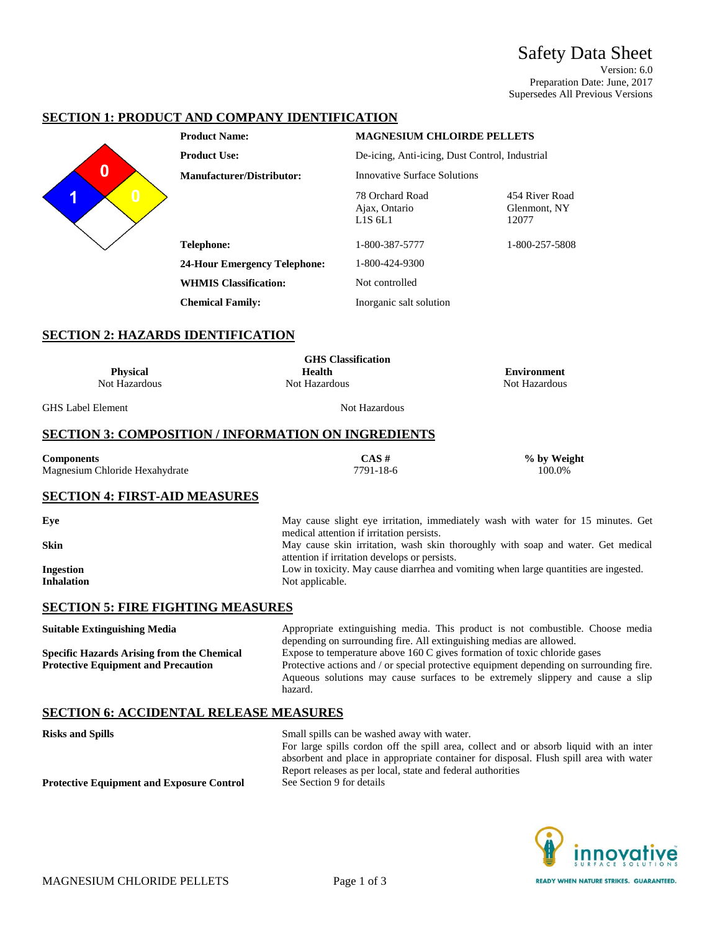Safety Data Sheet Version: 6.0 Preparation Date: June, 2017 Supersedes All Previous Versions

## **SECTION 1: PRODUCT AND COMPANY IDENTIFICATION**



| <b>Product Name:</b>                | <b>MAGNESIUM CHLOIRDE PELLETS</b>                                    |                                         |
|-------------------------------------|----------------------------------------------------------------------|-----------------------------------------|
| <b>Product Use:</b>                 | De-icing, Anti-icing, Dust Control, Industrial                       |                                         |
| <b>Manufacturer/Distributor:</b>    | Innovative Surface Solutions                                         |                                         |
|                                     | 78 Orchard Road<br>Ajax, Ontario<br>L <sub>1</sub> S 6L <sub>1</sub> | 454 River Road<br>Glenmont, NY<br>12077 |
| <b>Telephone:</b>                   | 1-800-387-5777                                                       | 1-800-257-5808                          |
| <b>24-Hour Emergency Telephone:</b> | 1-800-424-9300                                                       |                                         |
| <b>WHMIS Classification:</b>        | Not controlled                                                       |                                         |
| <b>Chemical Family:</b>             | Inorganic salt solution                                              |                                         |

#### **SECTION 2: HAZARDS IDENTIFICATION**

| <b>Physical</b><br>Not Hazardous                                                                | <b>GHS</b> Classification<br><b>Health</b><br>Not Hazardous                                                                                                                    | <b>Environment</b><br>Not Hazardous                                                                                                                                                                                                                              |  |  |
|-------------------------------------------------------------------------------------------------|--------------------------------------------------------------------------------------------------------------------------------------------------------------------------------|------------------------------------------------------------------------------------------------------------------------------------------------------------------------------------------------------------------------------------------------------------------|--|--|
| <b>GHS Label Element</b>                                                                        | Not Hazardous                                                                                                                                                                  |                                                                                                                                                                                                                                                                  |  |  |
| <b>SECTION 3: COMPOSITION / INFORMATION ON INGREDIENTS</b>                                      |                                                                                                                                                                                |                                                                                                                                                                                                                                                                  |  |  |
| <b>Components</b><br>Magnesium Chloride Hexahydrate                                             | CAS#<br>7791-18-6                                                                                                                                                              | % by Weight<br>100.0%                                                                                                                                                                                                                                            |  |  |
| <b>SECTION 4: FIRST-AID MEASURES</b>                                                            |                                                                                                                                                                                |                                                                                                                                                                                                                                                                  |  |  |
| Eye                                                                                             | May cause slight eye irritation, immediately wash with water for 15 minutes. Get                                                                                               |                                                                                                                                                                                                                                                                  |  |  |
| <b>Skin</b>                                                                                     | medical attention if irritation persists.<br>May cause skin irritation, wash skin thoroughly with soap and water. Get medical<br>attention if irritation develops or persists. |                                                                                                                                                                                                                                                                  |  |  |
| <b>Ingestion</b><br><b>Inhalation</b>                                                           | Low in toxicity. May cause diarrhea and vomiting when large quantities are ingested.<br>Not applicable.                                                                        |                                                                                                                                                                                                                                                                  |  |  |
| <b>SECTION 5: FIRE FIGHTING MEASURES</b>                                                        |                                                                                                                                                                                |                                                                                                                                                                                                                                                                  |  |  |
| <b>Suitable Extinguishing Media</b>                                                             | depending on surrounding fire. All extinguishing medias are allowed.                                                                                                           | Appropriate extinguishing media. This product is not combustible. Choose media                                                                                                                                                                                   |  |  |
| <b>Specific Hazards Arising from the Chemical</b><br><b>Protective Equipment and Precaution</b> | hazard.                                                                                                                                                                        | Expose to temperature above $160 \text{ C}$ gives formation of toxic chloride gases<br>Protective actions and / or special protective equipment depending on surrounding fire.<br>Aqueous solutions may cause surfaces to be extremely slippery and cause a slip |  |  |
| <b>SECTION 6: ACCIDENTAL RELEASE MEASURES</b>                                                   |                                                                                                                                                                                |                                                                                                                                                                                                                                                                  |  |  |
| <b>Risks and Spills</b>                                                                         | Small spills can be washed away with water.                                                                                                                                    | For large spills cordon off the spill area, collect and or absorb liquid with an inter                                                                                                                                                                           |  |  |

For large spills cordon off the spill area, collect and or absorb liquid with an inter absorbent and place in appropriate container for disposal. Flush spill area with water Report releases as per local, state and federal authorities **Protective Equipment and Exposure Control** 

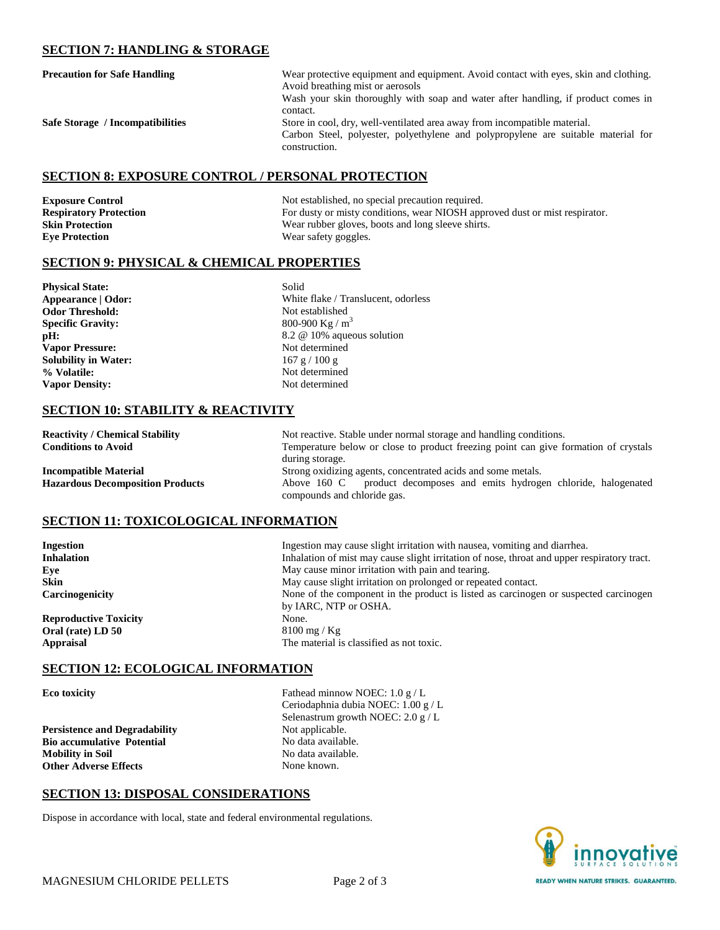## **SECTION 7: HANDLING & STORAGE**

| <b>Precaution for Safe Handling</b> | Wear protective equipment and equipment. Avoid contact with eyes, skin and clothing.<br>Avoid breathing mist or aerosols<br>Wash your skin thoroughly with soap and water after handling, if product comes in |
|-------------------------------------|---------------------------------------------------------------------------------------------------------------------------------------------------------------------------------------------------------------|
| Safe Storage / Incompatibilities    | contact.<br>Store in cool, dry, well-ventilated area away from incompatible material.<br>Carbon Steel, polyester, polyethylene and polypropylene are suitable material for<br>construction.                   |

#### **SECTION 8: EXPOSURE CONTROL / PERSONAL PROTECTION**

**Eye Protection** Wear safety goggles.

**Exposure Control** Not established, no special precaution required.<br> **Respiratory Protection** For dusty or misty conditions, wear NIOSH app For dusty or misty conditions, wear NIOSH approved dust or mist respirator. **Skin Protection** Wear rubber gloves, boots and long sleeve shirts.

# **SECTION 9: PHYSICAL & CHEMICAL PROPERTIES**

**Physical State:** Solid **Odor Threshold:** Not established **Specific Gravity:** 800-900 Kg / m<sup>3</sup> Vapor Pressure: Not determined **Solubility in Water:** 167 g / 100 g **% Volatile:** Not determined **Vapor Density:** Not determined

**Appearance | Odor:** White flake / Translucent, odorless **pH:** 8.2 @ 10% aqueous solution

## **SECTION 10: STABILITY & REACTIVITY**

**Reactivity / Chemical Stability** Not reactive. Stable under normal storage and handling conditions.<br> **Conditions to Avoid** Temperature below or close to product freezing point can give for Temperature below or close to product freezing point can give formation of crystals during storage. **Incompatible Material** Strong oxidizing agents, concentrated acids and some metals. **Hazardous Decomposition Products** Above 160 C product decomposes and emits hydrogen chloride, halogenated compounds and chloride gas.

### **SECTION 11: TOXICOLOGICAL INFORMATION**

**Reproductive Toxicity** None. **Oral (rate) LD 50** 8100 mg / Kg

**Ingestion** Ingestion may cause slight irritation with nausea, vomiting and diarrhea. **Inhalation** Inhalation of mist may cause slight irritation of nose, throat and upper respiratory tract. **Eye** May cause minor irritation with pain and tearing. **Skin** May cause slight irritation on prolonged or repeated contact. **Carcinogenicity** None of the component in the product is listed as carcinogen or suspected carcinogen by IARC, NTP or OSHA. **Appraisal** The material is classified as not toxic.

# **SECTION 12: ECOLOGICAL INFORMATION**

**Persistence and Degradability** Not applicable. **Bio accumulative Potential**  No data available. **Mobility in Soil** No data available. **Other Adverse Effects** None known.

**Eco toxicity** Fathead minnow NOEC: 1.0 g / L Ceriodaphnia dubia NOEC: 1.00 g / L Selenastrum growth NOEC: 2.0 g / L

### **SECTION 13: DISPOSAL CONSIDERATIONS**

Dispose in accordance with local, state and federal environmental regulations.